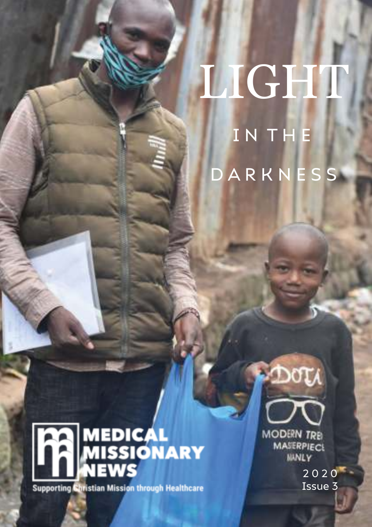## LIGHT I N T H E **D A R K N E S S**



**Supporting Christian Mission through Healthcare** 

**MODERN TREI MASERPIECS MANLY** 

DOTA

2 0 2 0 Issue 3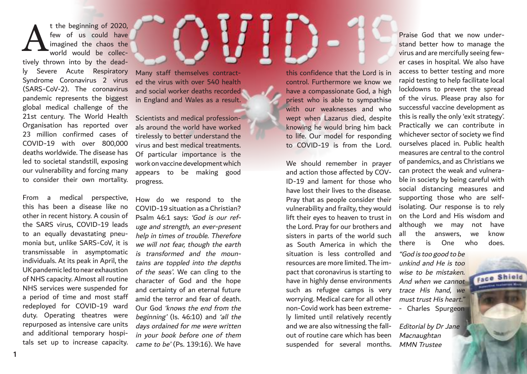t the beginning of 2020, few of us could have imagined the chaos the world would be collec-A

tively thrown into by the deadly Severe Acute Respiratory Syndrome Coronavirus 2 virus (SARS-CoV-2). The coronavirus pandemic represents the biggest global medical challenge of the 21st century. The World Health Organisation has reported over 23 million confirmed cases of COVID-19 with over 800,000 deaths worldwide. The disease has led to societal standstill, exposing our vulnerability and forcing many to consider their own mortality.

From a medical perspective, this has been a disease like no other in recent history. A cousin of the SARS virus, COVID-19 leads to an equally devastating pneumonia but, unlike SARS-CoV, it is transmissable in asymptomatic individuals. At its peak in April, the UK pandemic led to near exhaustion of NHS capacity. Almost all routine NHS services were suspended for a period of time and most staff redeployed for COVID-19 ward duty. Operating theatres were repurposed as intensive care units and additional temporary hospitals set up to increase capacity. Many staff themselves contracted the virus with over 540 health and social worker deaths recorded in England and Wales as a result.

Scientists and medical professionals around the world have worked tirelessly to better understand the virus and best medical treatments. Of particular importance is the work on vaccine development which appears to be making good progress.

How do we respond to the COVID-19 situation as a Christian? Psalm 46:1 says: 'God is our refuge and strength, an ever-present help in times of trouble. Therefore we will not fear, though the earth is transformed and the mountains are toppled into the depths of the seas'. We can cling to the character of God and the hope and certainty of an eternal future amid the terror and fear of death. Our God 'knows the end from the beginning' (Is. 46:10) and 'all the days ordained for me were written in your book before one of them came to be' (Ps. 139:16). We have

**1 2**

this confidence that the Lord is in control. Furthermore we know we have a compassionate God, a high priest who is able to sympathise with our weaknesses and who wept when Lazarus died, despite knowing he would bring him back to life. Our model for responding to COVID-19 is from the Lord.

We should remember in prayer and action those affected by COV-ID-19 and lament for those who have lost their lives to the disease. Pray that as people consider their vulnerability and frailty, they would lift their eyes to heaven to trust in the Lord. Pray for our brothers and sisters in parts of the world such as South America in which the situation is less controlled and resources are more limited. The impact that coronavirus is starting to have in highly dense environments such as refugee camps is very worrying. Medical care for all other non-Covid work has been extremely limited until relatively recently and we are also witnessing the fallout of routine care which has been suspended for several months.

Praise God that we now understand better how to manage the virus and are mercifully seeing fewer cases in hospital. We also have access to better testing and more rapid testing to help facilitate local lockdowns to prevent the spread of the virus. Please pray also for successful vaccine development as this is really the only 'exit strategy'. Practically we can contribute in whichever sector of society we find ourselves placed in. Public health measures are central to the control of pandemics, and as Christians we can protect the weak and vulnerable in society by being careful with social distancing measures and supporting those who are selfisolating. Our response is to rely on the Lord and His wisdom and although we may not have all the answers, we know there is One who does.

"God is too good to be unkind and He is too wise to be mistaken. And when we cannot trace His hand, we must trust His heart." - Charles Spurgeon

Face Shiel

Editorial by Dr Jane Macnaughtan MMN Trustee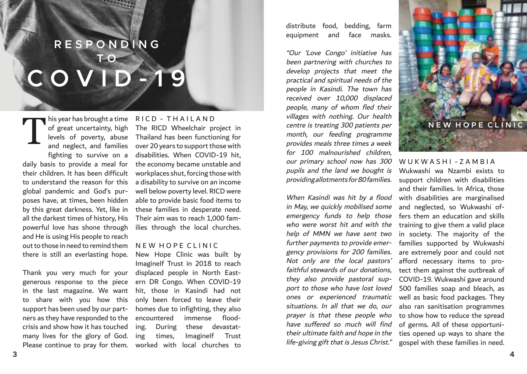### **C O V I D - 1 9 R E S P O N D I N G T O**

of great uncertainty, high levels of poverty, abuse and neglect, and families fighting to survive on a daily basis to provide a meal for their children. It has been difficult to understand the reason for this global pandemic and God's purposes have, at times, been hidden by this great darkness. Yet, like in all the darkest times of history, His powerful love has shone through and He is using His people to reach out to those in need to remind them there is still an everlasting hope. T

Thank you very much for your generous response to the piece in the last magazine. We want to share with you how this support has been used by our partners as they have responded to the crisis and show how it has touched many lives for the glory of God. Please continue to pray for them.

### his year has brought a time R I C D - T H A I L A N D

The RICD Wheelchair project in Thailand has been functioning for over 20 years to support those with disabilities. When COVID-19 hit, the economy became unstable and workplaces shut, forcing those with a disability to survive on an income well below poverty level. RICD were able to provide basic food items to these families in desperate need. Their aim was to reach 1,000 families through the local churches.

### N F W H O P E CLINIC

New Hope Clinic was built by ImagineIf Trust in 2018 to reach displaced people in North Eastern DR Congo. When COVID-19 hit, those in Kasindi had not only been forced to leave their homes due to infighting, they also encountered immense flooding. During these devastating times, ImagineIf Trust worked with local churches to

distribute food, bedding, farm equipment and face masks.

"Our 'Love Congo' initiative has been partnering with churches to develop projects that meet the practical and spiritual needs of the people in Kasindi. The town has received over 10,000 displaced people, many of whom fled their villages with nothing. Our health centre is treating 300 patients per month, our feeding programme provides meals three times a week for 100 malnourished children, our primary school now has 300 pupils and the land we bought is providing allotments for 80 families.

When Kasindi was hit by a flood in May, we quickly mobilised some emergency funds to help those who were worst hit and with the help of MMN we have sent two further payments to provide emergency provisions for 200 families. Not only are the local pastors' faithful stewards of our donations, they also provide pastoral support to those who have lost loved ones or experienced traumatic situations. In all that we do, our prayer is that these people who have suffered so much will find their ultimate faith and hope in the life-giving gift that is Jesus Christ."



### WUKWASHI-7AMBIA

Wukwashi wa Nzambi exists to support children with disabilities and their families. In Africa, those with disabilities are marginalised and neglected, so Wukwashi offers them an education and skills training to give them a valid place in society. The majority of the families supported by Wukwashi are extremely poor and could not afford necessary items to protect them against the outbreak of COVID-19. Wukwashi gave around 500 families soap and bleach, as well as basic food packages. They also ran sanitisation programmes to show how to reduce the spread of germs. All of these opportunities opened up ways to share the gospel with these families in need.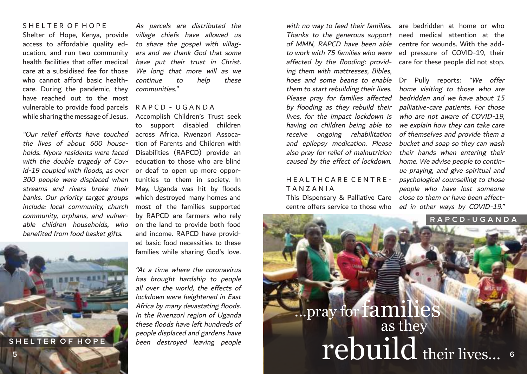### S H E L T E R O E H O P E

Shelter of Hope, Kenya, provide access to affordable quality education, and run two community health facilities that offer medical care at a subsidised fee for those who cannot afford basic healthcare. During the pandemic, they have reached out to the most vulnerable to provide food parcels while sharing the message of Jesus.

the lives of about 600 households. Nyora residents were faced with the double tragedy of Covid-19 coupled with floods, as over 300 people were displaced when streams and rivers broke their banks. Our priority target groups include: local community, church community, orphans, and vulnerable children households, who benefited from food basket gifts.



As parcels are distributed the village chiefs have allowed us to share the gospel with villagers and we thank God that some have put their trust in Christ. We long that more will as we continue to help these communities."

#### R A P C D - U G A N D A

"Our relief efforts have touched across Africa. Rwenzori Assoca-Accomplish Children's Trust seek to support disabled children tion of Parents and Children with Disabilities (RAPCD) provide an education to those who are blind or deaf to open up more opportunities to them in society. In May, Uganda was hit by floods which destroyed many homes and most of the families supported by RAPCD are farmers who rely on the land to provide both food and income. RAPCD have provided basic food necessities to these families while sharing God's love.

> "At a time where the coronavirus has brought hardship to people all over the world, the effects of lockdown were heightened in East Africa by many devastating floods. In the Rwenzori region of Uganda these floods have left hundreds of people displaced and gardens have been destroyed leaving people

with no way to feed their families. are bedridden at home or who of MMN, RAPCD have been able centre for wounds. With the adding them with mattresses, Bibles, hoes and some beans to enable Dr Pully reports: "We offer them to start rebuilding their lives. Please pray for families affected by flooding as they rebuild their lives, for the impact lockdown is having on children being able to receive ongoing rehabilitation and epilepsy medication. Please also pray for relief of malnutrition caused by the effect of lockdown.

### T A N Z A N I A This Dispensary & Palliative Care close to them or have been affect-

centre offers service to those who

Thanks to the generous support need medical attention at the to work with 75 families who were ed pressure of COVID-19, their affected by the flooding: provid- care for these people did not stop.

HEALTHCARE CENTRE - *psychological counselling to those* home visiting to those who are bedridden and we have about 15 palliative-care patients. For those who are not aware of COVID-19, we explain how they can take care of themselves and provide them a bucket and soap so they can wash their hands when entering their home. We advise people to continue praying, and give spiritual and people who have lost someone ed in other ways by COVID-19."

# ...pray for families as they For the contracted the stroyed leaving people<br>  $\begin{bmatrix}\n\text{Feyl} & \text{Feyl} & \text{Feyl} & \text{Feyl} \\
\text{Beyl} & \text{Beyl} & \text{Feyl} & \text{Feyl} & \text{Feyl} \\
\text{DUI} & \text{Feyl} & \text{Feyl} & \text{Feyl} & \text{Feyl} \\
\text{DUI} & \text{Feyl} & \text{Feyl} & \text{Feyl} & \text{Feyl} \\
\text{DUI} & \text{Feyl} & \$ **R A P C D - U G A N D A**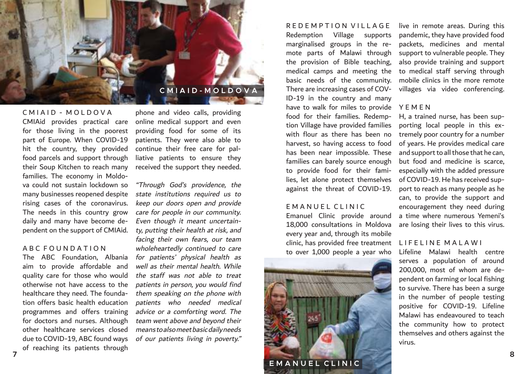

C M I A I D - M O L D O V A CMIAid provides practical care for those living in the poorest part of Europe. When COVID-19 hit the country, they provided food parcels and support through their Soup Kitchen to reach many families. The economy in Moldova could not sustain lockdown so many businesses reopened despite rising cases of the coronavirus. The needs in this country grow daily and many have become dependent on the support of CMIAid.

### A B C F O U N D A T I O N

The ABC Foundation, Albania aim to provide affordable and quality care for those who would otherwise not have access to the healthcare they need. The foundation offers basic health education programmes and offers training for doctors and nurses. Although other healthcare services closed due to COVID-19, ABC found ways of reaching its patients through

phone and video calls, providing online medical support and even providing food for some of its patients. They were also able to continue their free care for palliative patients to ensure they received the support they needed.

"Through God's providence, the state institutions required us to keep our doors open and provide care for people in our community. Even though it meant uncertainty, putting their health at risk, and facing their own fears, our team wholeheartedly continued to care for patients' physical health as well as their mental health. While the staff was not able to treat patients in person, you would find them speaking on the phone with patients who needed medical advice or a comforting word. The team went above and beyond their means to also meet basic daily needs of our patients living in poverty."

Redemption Village supports marginalised groups in the remote parts of Malawi through the provision of Bible teaching, medical camps and meeting the basic needs of the community. There are increasing cases of COV-ID-19 in the country and many have to walk for miles to provide Y E M E N food for their families. Redemption Village have provided families with flour as there has been no harvest, so having access to food has been near impossible. These families can barely source enough to provide food for their families, let alone protect themselves against the threat of COVID-19.

R E D E M P T I O N V I L L A G E

#### E M A N U E L C L I N I C

Emanuel Clinic provide around 18,000 consultations in Moldova every year and, through its mobile clinic, has provided free treatment to over 1,000 people a year who



live in remote areas. During this pandemic, they have provided food packets, medicines and mental support to vulnerable people. They also provide training and support to medical staff serving through mobile clinics in the more remote villages via video conferencing.

H, a trained nurse, has been supporting local people in this extremely poor country for a number of years. He provides medical care and support to all those that he can, but food and medicine is scarce, especially with the added pressure of COVID-19. He has received support to reach as many people as he can, to provide the support and encouragement they need during a time where numerous Yemeni's are losing their lives to this virus.

### L I F E L I N E M A L A W I

Lifeline Malawi health centre serves a population of around 200,000, most of whom are dependent on farming or local fishing to survive. There has been a surge in the number of people testing positive for COVID-19. Lifeline Malawi has endeavoured to teach the community how to protect themselves and others against the virus.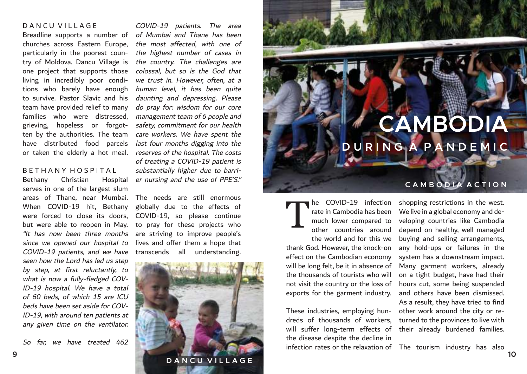### D A N C U V I L L A G F

Breadline supports a number of of Mumbai and Thane has been churches across Eastern Europe, particularly in the poorest country of Moldova. Dancu Village is one project that supports those living in incredibly poor conditions who barely have enough to survive. Pastor Slavic and his team have provided relief to many families who were distressed, grieving, hopeless or forgotten by the authorities. The team have distributed food parcels or taken the elderly a hot meal.

#### B E T H A N Y H O S P I T A L

Bethany Christian Hospital serves in one of the largest slum areas of Thane, near Mumbai. When COVID-19 hit, Bethany were forced to close its doors, but were able to reopen in May. since we opened our hospital to COVID-19 patients, and we have seen how the Lord has led us step by step, at first reluctantly, to what is now a fully-fledged COV-ID-19 hospital. We have a total of 60 beds, of which 15 are ICU beds have been set aside for COV-ID-19, with around ten patients at any given time on the ventilator.

So far, we have treated 462

COVID-19 patients. The area the most affected, with one of the highest number of cases in the country. The challenges are colossal, but so is the God that we trust in. However, often, at a human level, it has been quite daunting and depressing. Please do pray for: wisdom for our core management team of 6 people and safety, commitment for our health care workers. We have spent the last four months digging into the reserves of the hospital. The costs of treating a COVID-19 patient is substantially higher due to barrier nursing and the use of PPE'S."

"It has now been three months are striving to improve people's The needs are still enormous globally due to the effects of COVID-19, so please continue to pray for these projects who lives and offer them a hope that transcends all understanding.



## **CAMBODIA D U R I N G A P A N D E M I C**

### **C A M B O D I A A C T I O N**

he COVID-19 infection rate in Cambodia has been much lower compared to other countries around the world and for this we thank God. However, the knock-on effect on the Cambodian economy will be long felt, be it in absence of the thousands of tourists who will not visit the country or the loss of exports for the garment industry. T

These industries, employing hundreds of thousands of workers, will suffer long-term effects of their already burdened families. the disease despite the decline in

shopping restrictions in the west. We live in a global economy and developing countries like Cambodia depend on healthy, well managed buying and selling arrangements, any hold-ups or failures in the system has a downstream impact. Many garment workers, already on a tight budget, have had their hours cut, some being suspended and others have been dismissed. As a result, they have tried to find other work around the city or returned to the provinces to live with

infection rates or the relaxation of The tourism industry has also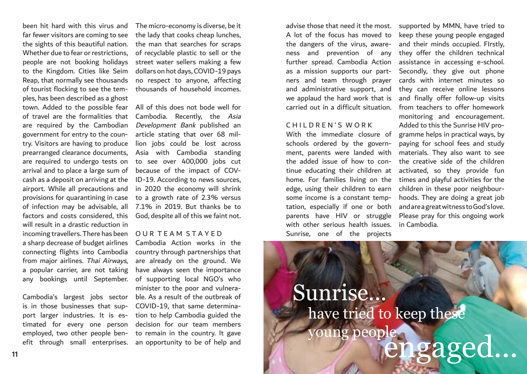been hit hard with this virus and far fewer visitors are coming to see the sights of this beautiful nation. Whether due to fear or restrictions. people are not booking holidays to the Kingdom. Cities like Seim Reap, that normally see thousands of tourist flocking to see the temples, has been described as a ghost town. Added to the possible fear of travel are the formalities that are required by the Cambodian government for entry to the country. Visitors are having to produce prearranged clearance documents, are required to undergo tests on arrival and to place a large sum of cash as a deposit on arriving at the airport. While all precautions and provisions for quarantining in case of infection may be advisable, all factors and costs considered, this will result in a drastic reduction in incoming travellers. There has been O U R T E A M S T A Y E D a sharp decrease of budget airlines connecting flights into Cambodia from major airlines. Thai Airways, a popular carrier, are not taking any bookings until September.

Cambodia's largest jobs sector is in those businesses that support larger industries. It is estimated for every one person employed, two other people ben-

The micro-economy is diverse, be it the lady that cooks cheap lunches, the man that searches for scraps of recyclable plastic to sell or the street water sellers making a few dollars on hot days, COVID-19 pays no respect to anyone, affecting thousands of household incomes.

All of this does not bode well for Cambodia. Recently, the Asia Development Bank published an article stating that over 68 million jobs could be lost across Asia with Cambodia standing to see over 400,000 jobs cut because of the impact of COV-ID-19. According to news sources, in 2020 the economy will shrink to a growth rate of 2.3% versus 7.1% in 2019. But thanks be to God, despite all of this we faint not.

efit through small enterprises. an opportunity to be of help and Cambodia Action works in the country through partnerships that are already on the ground. We have always seen the importance of supporting local NGO's who minister to the poor and vulnerable. As a result of the outbreak of COVID-19, that same determination to help Cambodia guided the decision for our team members to remain in the country. It gave

advise those that need it the most. A lot of the focus has moved to the dangers of the virus, awareness and prevention of any further spread. Cambodia Action as a mission supports our partners and team through prayer and administrative support, and we applaud the hard work that is carried out in a difficult situation.

#### CHILDREN'S WORK

With the immediate closure of schools ordered by the government, parents were landed with the added issue of how to continue educating their children at home. For families living on the edge, using their children to earn some income is a constant temptation, especially if one or both parents have HIV or struggle with other serious health issues. Sunrise, one of the projects

supported by MMN, have tried to keep these young people engaged and their minds occupied. FIrstly, they offer the children technical assistance in accessing e-school. Secondly, they give out phone cards with internet minutes so they can receive online lessons and finally offer follow-up visits from teachers to offer homework monitoring and encouragement. Added to this the Sunrise HIV programme helps in practical ways, by paying for school fees and study materials. They also want to see the creative side of the children activated, so they provide fun times and playful activities for the children in these poor neighbourhoods. They are doing a great job and are a great witness to God's love. Please pray for this ongoing work in Cambodia.

## Sunrise... have tried to keep these ung people efit through small enterprises. an opportunity to be of help and<br>11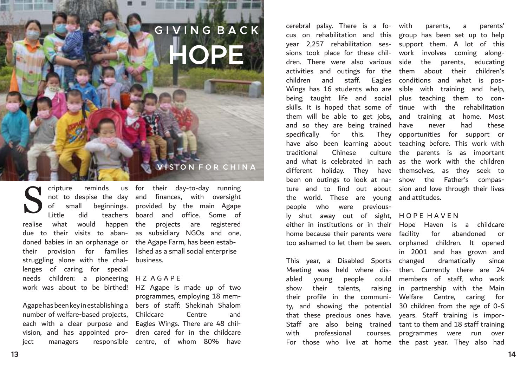## **HOPE G I V I N G B A C K**

### **V I S I O N F O R C H I N A**

cripture reminds doned babies in an orphanage or the Agape Farm, has been estabtheir provision for families lished as a small social enterprise struggling alone with the chal-business. lenges of caring for special needs children: a pioneering H Z A G A P E S

Agape has been key in establishing a bers of staff: Shekinah Shalom number of welfare-based projects, Childcare Centre and each with a clear purpose and Eagles Wings. There are 48 chilvision, and has appointed pro-dren cared for in the childcare ject managers responsible centre, of whom 80% have

not to despise the day and finances, with oversight of small beginnings. provided by the main Agape Little did teachers board and office. Some of realise what would happen the projects are registered due to their visits to aban-as subsidiary NGOs and one, for their day-to-day running

work was about to be birthed! HZ Agape is made up of two programmes, employing 18 mem-

cerebral palsy. There is a fo-with parents, a parents' cus on rehabilitation and this group has been set up to help year 2,257 rehabilitation ses-support them. A lot of this sions took place for these chil-work involves coming alongdren. There were also various side the parents, educating activities and outings for the them about their children's children and staff. Eagles conditions and what is pos-Wings has 16 students who are sible with training and help, being taught life and social plus teaching them to conskills. It is hoped that some of tinue with the rehabilitation them will be able to get jobs, and training at home. Most and so they are being trained have never had these specifically for this. They opportunities for support or have also been learning about teaching before. This work with traditional Chinese and what is celebrated in each as the work with the children different holiday. They have themselves, as they seek to been on outings to look at na- show the Father's compasture and to find out about sion and love through their lives the world. These are young and attitudes. people who were previous-

ly shut away out of sight, HOPE HAVEN either in institutions or in their Hope Haven is a childcare home because their parents were facility for abandoned or too ashamed to let them be seen. orphaned children. It opened

This year, a Disabled Sports Meeting was held where dis-then. Currently there are 24 abled young people could members of staff, who work show their talents, raising in partnership with the Main their profile in the communi-Welfare Centre, caring for ty, and showing the potential 30 children from the age of 0-6 that these precious ones have. years. Staff training is impor-Staff are also being trained tant to them and 18 staff training with professional

culture the parents is as important

For those who live at home the past year. They also had in 2001 and has grown and dramatically since courses. programmes were run over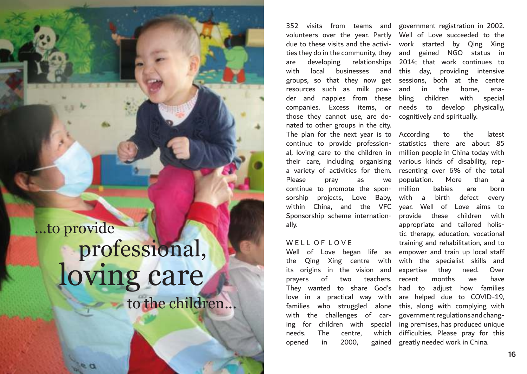## ...to provide professional, loving care to the children...

volunteers over the year. Partly Well of Love succeeded to the due to these visits and the activi-work started by Qing Xing ties they do in the community, they and gained NGO status in are developing relationships 2014; that work continues to with local businesses groups, so that they now get sessions, both at the centre resources such as milk powder and nappies from these companies. Excess items, or needs to develop physically, those they cannot use, are do-cognitively and spiritually. nated to other groups in the city. The plan for the next year is to According to the latest continue to provide profession-statistics there are about 85 al, loving care to the children in their care, including organising various kinds of disability, repa variety of activities for them. resenting over 6% of the total Please pray as we continue to promote the sponsorship projects, Love Baby, within China, and the VFC year. Well of Love aims to Sponsorship scheme internationally.

#### W F L L O F L O V F

the Qing Xing centre with its origins in the vision and prayers of two teachers. They wanted to share God's love in a practical way with families who struggled alone with the challenges of caring for children with special ing premises, has produced unique needs. The centre, opened in 2000, gained

352 visits from teams and government registration in 2002. and this day, providing intensive and in the home, enabling children with special

Well of Love began life as empower and train up local staff million people in China today with population. More than a million babies are born with a birth defect every provide these children with appropriate and tailored holistic therapy, education, vocational training and rehabilitation, and to with the specialist skills and expertise they need. Over recent months we have had to adjust how families are helped due to COVID-19, this, along with complying with government regulations and changwhich difficulties. Please pray for this greatly needed work in China.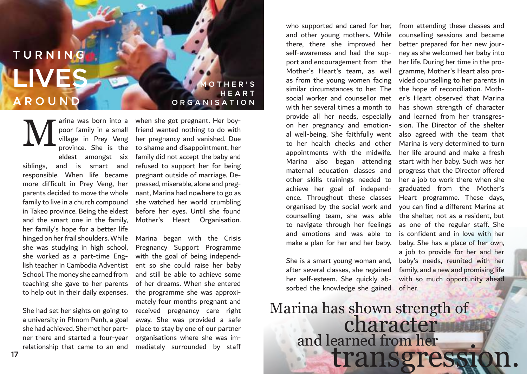**LIVES T U R N I N G A R O U N D**

> village in Prey Veng province. She is the eldest amongst six siblings, and is smart and responsible. When life became more difficult in Prey Veng, her parents decided to move the whole family to live in a church compound in Takeo province. Being the eldest and the smart one in the family, her family's hope for a better life hinged on her frail shoulders. While she was studying in high school, she worked as a part-time English teacher in Cambodia Adventist School. The money she earned from teaching she gave to her parents to help out in their daily expenses. M

arina was born into a poor family in a small

She had set her sights on going to a university in Phnom Penh, a goal she had achieved. She met her partner there and started a four-year relationship that came to an end

**M O T H E R ' S H E A R T O R G A N I S A T I O N**

when she got pregnant. Her boyfriend wanted nothing to do with her pregnancy and vanished. Due to shame and disappointment, her family did not accept the baby and refused to support her for being pregnant outside of marriage. Depressed, miserable, alone and pregnant, Marina had nowhere to go as she watched her world crumbling before her eyes. Until she found Mother's Heart Organisation.

Marina began with the Crisis Pregnancy Support Programme with the goal of being independent so she could raise her baby and still be able to achieve some of her dreams. When she entered the programme she was approximately four months pregnant and received pregnancy care right away. She was provided a safe place to stay by one of our partner organisations where she was immediately surrounded by staff

and other young mothers. While there, there she improved her self-awareness and had the support and encouragement from the Mother's Heart's team, as well as from the young women facing similar circumstances to her. The social worker and counsellor met with her several times a month to provide all her needs, especially on her pregnancy and emotional well-being. She faithfully went to her health checks and other appointments with the midwife. Marina also began attending maternal education classes and other skills trainings needed to achieve her goal of independence. Throughout these classes organised by the social work and counselling team, she was able to navigate through her feelings and emotions and was able to make a plan for her and her baby.

She is a smart young woman and, after several classes, she regained her self-esteem. She quickly absorbed the knowledge she gained

who supported and cared for her, from attending these classes and counselling sessions and became better prepared for her new journey as she welcomed her baby into her life. During her time in the programme, Mother's Heart also provided counselling to her parents in the hope of reconciliation. Mother's Heart observed that Marina has shown strength of character and learned from her transgression. The Director of the shelter also agreed with the team that Marina is very determined to turn her life around and make a fresh start with her baby. Such was her progress that the Director offered her a job to work there when she graduated from the Mother's Heart programme. These days, you can find a different Marina at the shelter, not as a resident, but as one of the regular staff. She is confident and in love with her baby. She has a place of her own, a job to provide for her and her baby's needs, reunited with her family, and a new and promising life with so much opportunity ahead of her.

### Marina has shown strength of and learned from her character transgressi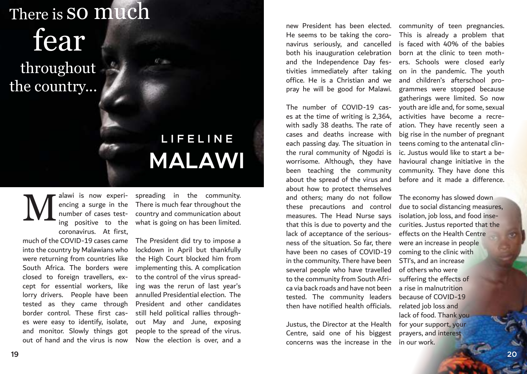## There is  ${\bf so}$   ${\bf much}$

## fear

 throughout the country...

## **L I F E L I N E MALAWI**

alawi is now experiencing a surge in the number of cases testing positive to the coronavirus. At first, M

much of the COVID-19 cases came into the country by Malawians who were returning from countries like South Africa. The borders were closed to foreign travellers, except for essential workers, like lorry drivers. People have been tested as they came through border control. These first cases were easy to identify, isolate, and monitor. Slowly things got out of hand and the virus is now spreading in the community. There is much fear throughout the country and communication about what is going on has been limited.

The President did try to impose a lockdown in April but thankfully the High Court blocked him from implementing this. A complication to the control of the virus spreading was the rerun of last year's annulled Presidential election. The President and other candidates still held political rallies throughout May and June, exposing people to the spread of the virus. Now the election is over, and a

new President has been elected. He seems to be taking the coronavirus seriously, and cancelled both his inauguration celebration and the Independence Day festivities immediately after taking office. He is a Christian and we pray he will be good for Malawi.

The number of COVID-19 cases at the time of writing is 2,364, with sadly 38 deaths. The rate of cases and deaths increase with each passing day. The situation in the rural community of Ngodzi is worrisome. Although, they have been teaching the community about the spread of the virus and about how to protect themselves and others; many do not follow these precautions and control measures. The Head Nurse says that this is due to poverty and the lack of acceptance of the seriousness of the situation. So far, there have been no cases of COVID-19 in the community. There have been several people who have travelled to the community from South Africa via back roads and have not been tested. The community leaders then have notified health officials.

Justus, the Director at the Health Centre, said one of his biggest concerns was the increase in the

community of teen pregnancies. This is already a problem that is faced with 40% of the babies born at the clinic to teen mothers. Schools were closed early on in the pandemic. The youth and children's afterschool programmes were stopped because gatherings were limited. So now youth are idle and, for some, sexual activities have become a recreation. They have recently seen a big rise in the number of pregnant teens coming to the antenatal clinic. Justus would like to start a behavioural change initiative in the community. They have done this before and it made a difference.

The economy has slowed down due to social distancing measures, isolation, job loss, and food insecurities. Justus reported that the effects on the Health Centre were an increase in people coming to the clinic with STI's, and an increase of others who were suffering the effects of a rise in malnutrition because of COVID-19 related job loss and lack of food. Thank you for your support, your prayers, and interest in our work.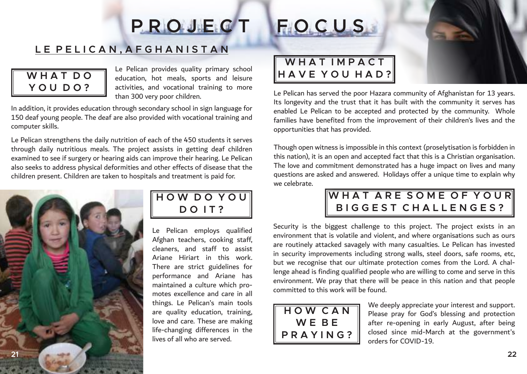## **P R O J E C T F O C U S**

### **L E P E L I C A N , A F G H A N I S T A N**

### **W H A T D O Y O U D O ?**

Le Pelican provides quality primary school education, hot meals, sports and leisure activities, and vocational training to more than 300 very poor children.

In addition, it provides education through secondary school in sign language for 150 deaf young people. The deaf are also provided with vocational training and computer skills.

Le Pelican strengthens the daily nutrition of each of the 450 students it serves through daily nutritious meals. The project assists in getting deaf children examined to see if surgery or hearing aids can improve their hearing. Le Pelican also seeks to address physical deformities and other effects of disease that the children present. Children are taken to hospitals and treatment is paid for.



### **H O W D O Y O U D O I T ?**

Le Pelican employs qualified Afghan teachers, cooking staff, cleaners, and staff to assist Ariane Hiriart in this work. There are strict guidelines for performance and Ariane has maintained a culture which promotes excellence and care in all things. Le Pelican's main tools are quality education, training, love and care. These are making life-changing differences in the lives of all who are served.



### WHAT IMPACT **H A V E Y O U H A D ?**

Le Pelican has served the poor Hazara community of Afghanistan for 13 years. Its longevity and the trust that it has built with the community it serves has enabled Le Pelican to be accepted and protected by the community. Whole families have benefited from the improvement of their children's lives and the opportunities that has provided.

Though open witness is impossible in this context (proselytisation is forbidden in this nation), it is an open and accepted fact that this is a Christian organisation. The love and commitment demonstrated has a huge impact on lives and many questions are asked and answered. Holidays offer a unique time to explain why we celebrate.

### WHAT ARE SOME OF YOUR **B I G G E S T C H A L L E N G E S ?**

Security is the biggest challenge to this project. The project exists in an environment that is volatile and violent, and where organisations such as ours are routinely attacked savagely with many casualties. Le Pelican has invested in security improvements including strong walls, steel doors, safe rooms, etc, but we recognise that our ultimate protection comes from the Lord. A challenge ahead is finding qualified people who are willing to come and serve in this environment. We pray that there will be peace in this nation and that people committed to this work will be found.



We deeply appreciate your interest and support. Please pray for God's blessing and protection after re-opening in early August, after being closed since mid-March at the government's orders for COVID-19.